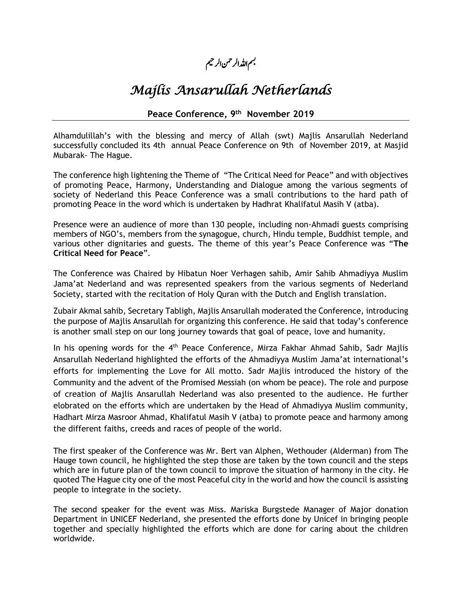## بسم اللہ الرحمن الرحيم

## *Majlis Ansarullah Netherlands*

## **Peace Conference, 9 th November 2019**

Alhamdulillah's with the blessing and mercy of Allah (swt) Majlis Ansarullah Nederland successfully concluded its 4th annual Peace Conference on 9th of November 2019, at Masjid Mubarak- The Hague.

The conference high lightening the Theme of "The Critical Need for Peace" and with objectives of promoting Peace, Harmony, Understanding and Dialogue among the various segments of society of Nederland this Peace Conference was a small contributions to the hard path of promoting Peace in the word which is undertaken by Hadhrat Khalifatul Masih V (atba).

Presence were an audience of more than 130 people, including non-Ahmadi guests comprising members of NGO's, members from the synagogue, church, Hindu temple, Buddhist temple, and various other dignitaries and guests. The theme of this year's Peace Conference was "**The Critical Need for Peace**".

The Conference was Chaired by Hibatun Noer Verhagen sahib, Amir Sahib Ahmadiyya Muslim Jama'at Nederland and was represented speakers from the various segments of Nederland Society, started with the recitation of Holy Quran with the Dutch and English translation.

Zubair Akmal sahib, Secretary Tabligh, Majlis Ansarullah moderated the Conference, introducing the purpose of Majlis Ansarullah for organizing this conference. He said that today's conference is another small step on our long journey towards that goal of peace, love and humanity.

In his opening words for the  $4<sup>th</sup>$  Peace Conference, Mirza Fakhar Ahmad Sahib, Sadr Majlis Ansarullah Nederland highlighted the efforts of the Ahmadiyya Muslim Jama'at international's efforts for implementing the Love for All motto. Sadr Majlis introduced the history of the Community and the advent of the Promised Messiah (on whom be peace). The role and purpose of creation of Majlis Ansarullah Nederland was also presented to the audience. He further elobrated on the efforts which are undertaken by the Head of Ahmadiyya Muslim community, Hadhart Mirza Masroor Ahmad, Khalifatul Masih V (atba) to promote peace and harmony among the different faiths, creeds and races of people of the world.

The first speaker of the Conference was Mr. Bert van Alphen, Wethouder (Alderman) from The Hauge town council, he highlighted the step those are taken by the town council and the steps which are in future plan of the town council to improve the situation of harmony in the city. He quoted The Hague city one of the most Peaceful city in the world and how the council is assisting people to integrate in the society.

The second speaker for the event was Miss. Mariska Burgstede Manager of Major donation Department in UNICEF Nederland, she presented the efforts done by Unicef in bringing people together and specially highlighted the efforts which are done for caring about the children worldwide.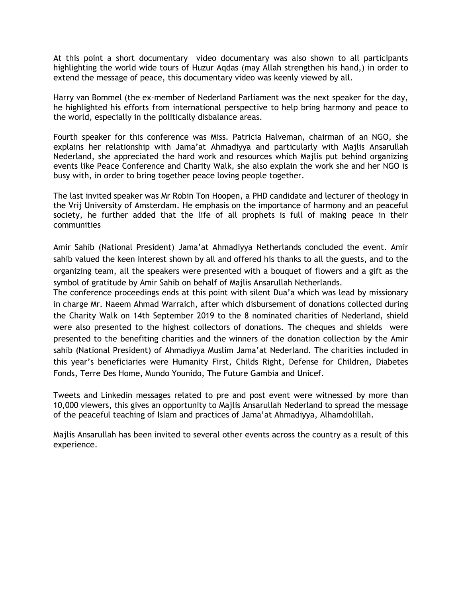At this point a short documentary video documentary was also shown to all participants highlighting the world wide tours of Huzur Aqdas (may Allah strengthen his hand,) in order to extend the message of peace, this documentary video was keenly viewed by all.

Harry van Bommel (the ex-member of Nederland Parliament was the next speaker for the day, he highlighted his efforts from international perspective to help bring harmony and peace to the world, especially in the politically disbalance areas.

Fourth speaker for this conference was Miss. Patricia Halveman, chairman of an NGO, she explains her relationship with Jama'at Ahmadiyya and particularly with Majlis Ansarullah Nederland, she appreciated the hard work and resources which Majlis put behind organizing events like Peace Conference and Charity Walk, she also explain the work she and her NGO is busy with, in order to bring together peace loving people together.

The last invited speaker was Mr Robin Ton Hoopen, a PHD candidate and lecturer of theology in the Vrij University of Amsterdam. He emphasis on the importance of harmony and an peaceful society, he further added that the life of all prophets is full of making peace in their communities

Amir Sahib (National President) Jama'at Ahmadiyya Netherlands concluded the event. Amir sahib valued the keen interest shown by all and offered his thanks to all the guests, and to the organizing team, all the speakers were presented with a bouquet of flowers and a gift as the symbol of gratitude by Amir Sahib on behalf of Majlis Ansarullah Netherlands.

The conference proceedings ends at this point with silent Dua'a which was lead by missionary in charge Mr. Naeem Ahmad Warraich, after which disbursement of donations collected during the Charity Walk on 14th September 2019 to the 8 nominated charities of Nederland, shield were also presented to the highest collectors of donations. The cheques and shields were presented to the benefiting charities and the winners of the donation collection by the Amir sahib (National President) of Ahmadiyya Muslim Jama'at Nederland. The charities included in this year's beneficiaries were Humanity First, Childs Right, Defense for Children, Diabetes Fonds, Terre Des Home, Mundo Younido, The Future Gambia and Unicef.

Tweets and Linkedin messages related to pre and post event were witnessed by more than 10,000 viewers, this gives an opportunity to Majlis Ansarullah Nederland to spread the message of the peaceful teaching of Islam and practices of Jama'at Ahmadiyya, Alhamdolillah.

Majlis Ansarullah has been invited to several other events across the country as a result of this experience.